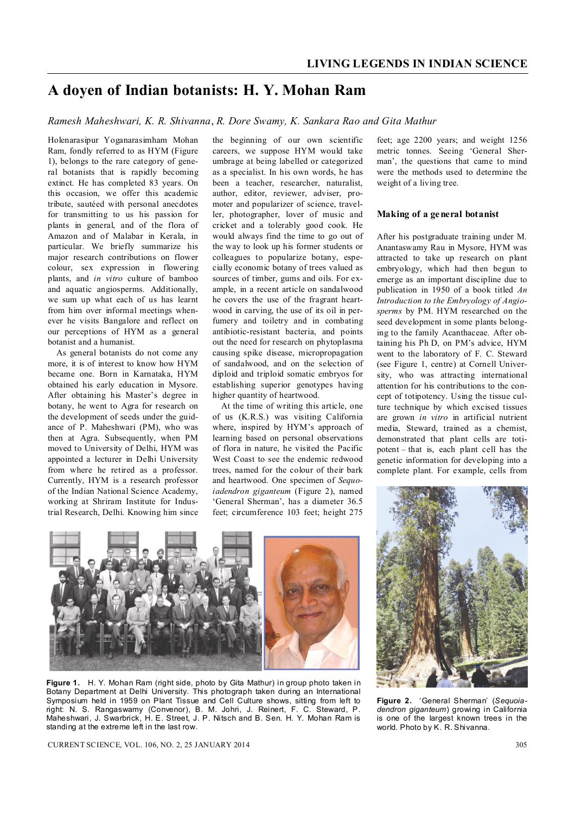# **A doyen of Indian botanists: H. Y. Mohan Ram**

*Ramesh Maheshwari, K. R. Shivanna*, *R. Dore Swamy, K. Sankara Rao and Gita Mathur*

Holenarasipur Yoganarasimham Mohan Ram, fondly referred to as HYM (Figure 1), belongs to the rare category of general botanists that is rapidly becoming extinct. He has completed 83 years. On this occasion, we offer this academic tribute, sautéed with personal anecdotes for transmitting to us his passion for plants in general, and of the flora of Amazon and of Malabar in Kerala, in particular. We briefly summarize his major research contributions on flower colour, sex expression in flowering plants, and *in vitro* culture of bamboo and aquatic angiosperms. Additionally, we sum up what each of us has learnt from him over informal meetings whenever he visits Bangalore and reflect on our perceptions of HYM as a general botanist and a humanist.

As general botanists do not come any more, it is of interest to know how HYM became one. Born in Karnataka, HYM obtained his early education in Mysore. After obtaining his Master's degree in botany, he went to Agra for research on the development of seeds under the guidance of P. Maheshwari (PM), who was then at Agra. Subsequently, when PM moved to University of Delhi, HYM was appointed a lecturer in Delhi University from where he retired as a professor. Currently, HYM is a research professor of the Indian National Science Academy, working at Shriram Institute for Industrial Research, Delhi. Knowing him since

the beginning of our own scientific careers, we suppose HYM would take umbrage at being labelled or categorized as a specialist. In his own words, he has been a teacher, researcher, naturalist, author, editor, reviewer, adviser, promoter and popularizer of science, traveller, photographer, lover of music and cricket and a tolerably good cook. He would always find the time to go out of the way to look up his former students or colleagues to popularize botany, especially economic botany of trees valued as sources of timber, gums and oils. For example, in a recent article on sandalwood he covers the use of the fragrant heartwood in carving, the use of its oil in perfumery and toiletry and in combating antibiotic-resistant bacteria, and points out the need for research on phytoplasma causing spike disease, micropropagation of sandalwood, and on the selection of diploid and triploid somatic embryos for establishing superior genotypes having higher quantity of heartwood.

At the time of writing this article, one of us (K.R.S.) was visiting California where, inspired by HYM's approach of learning based on personal observations of flora in nature, he visited the Pacific West Coast to see the endemic redwood trees, named for the colour of their bark and heartwood. One specimen of *Sequoiadendron giganteum* (Figure 2), named 'General Sherman', has a diameter 36.5 feet; circumference 103 feet; height 275 feet; age 2200 years; and weight 1256 metric tonnes. Seeing 'General Sherman', the questions that came to mind were the methods used to determine the weight of a living tree.

#### **Making of a general botanist**

After his postgraduate training under M. Anantaswamy Rau in Mysore, HYM was attracted to take up research on plant embryology, which had then begun to emerge as an important discipline due to publication in 1950 of a book titled *An Introduction to the Embryology of Angiosperms* by PM. HYM researched on the seed development in some plants belonging to the family Acanthaceae. After obtaining his Ph D, on PM's advice, HYM went to the laboratory of F. C. Steward (see Figure 1, centre) at Cornell University, who was attracting international attention for his contributions to the concept of totipotency. Using the tissue culture technique by which excised tissues are grown *in vitro* in artificial nutrient media, Steward, trained as a chemist, demonstrated that plant cells are totipotent – that is, each plant cell has the genetic information for developing into a complete plant. For example, cells from



**Figure 1.** H. Y. Mohan Ram (right side, photo by Gita Mathur) in group photo taken in Botany Department at Delhi University. This photograph taken during an International Symposium held in 1959 on Plant Tissue and Cell Culture shows, sitting from left to right: N. S. Rangaswamy (Convenor), B. M. Johri, J. Reinert, F. C. Steward, P. Maheshwari, J. Swarbrick, H. E. Street, J. P. Nitsch and B. Sen. H. Y. Mohan Ram is standing at the extreme left in the last row.

**Figure 2.** 'General Sherman' (*Sequoiadendron giganteum*) growing in California is one of the largest known trees in the world. Photo by K. R. Shivanna.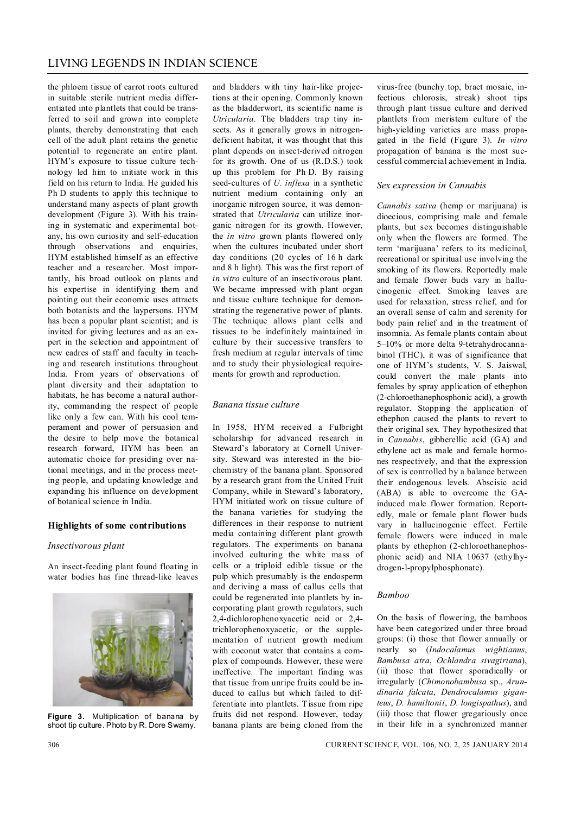the phloem tissue of carrot roots cultured in suitable sterile nutrient media differentiated into plantlets that could be transferred to soil and grown into complete plants, thereby demonstrating that each cell of the adult plant retains the genetic potential to regenerate an entire plant. HYM's exposure to tissue culture technology led him to initiate work in this field on his return to India. He guided his Ph D students to apply this technique to understand many aspects of plant growth development (Figure 3). With his training in systematic and experimental botany, his own curiosity and self-education through observations and enquiries, HYM established himself as an effective teacher and a researcher. Most importantly, his broad outlook on plants and his expertise in identifying them and pointing out their economic uses attracts both botanists and the laypersons. HYM has been a popular plant scientist; and is invited for giving lectures and as an expert in the selection and appointment of new cadres of staff and faculty in teaching and research institutions throughout India. From years of observations of plant diversity and their adaptation to habitats, he has become a natural authority, commanding the respect of people like only a few can. With his cool temperament and power of persuasion and the desire to help move the botanical research forward, HYM has been an automatic choice for presiding over national meetings, and in the process meeting people, and updating knowledge and expanding his influence on development of botanical science in India.

#### **Highlights of some contributions**

#### *Insectivorous plant*

An insect-feeding plant found floating in water bodies has fine thread-like leaves



**Figure 3.** Multiplication of banana by shoot tip culture. Photo by R. Dore Swamy.

and bladders with tiny hair-like projections at their opening. Commonly known as the bladderwort, its scientific name is *Utricularia*. The bladders trap tiny insects. As it generally grows in nitrogendeficient habitat, it was thought that this plant depends on insect-derived nitrogen for its growth. One of us (R.D.S.) took up this problem for Ph D. By raising seed-cultures of *U. inflexa* in a synthetic nutrient medium containing only an inorganic nitrogen source, it was demonstrated that *Utricularia* can utilize inorganic nitrogen for its growth. However, the *in vitro* grown plants flowered only when the cultures incubated under short day conditions (20 cycles of 16 h dark and 8 h light). This was the first report of *in vitro* culture of an insectivorous plant. We became impressed with plant organ and tissue culture technique for demonstrating the regenerative power of plants. The technique allows plant cells and tissues to be indefinitely maintained in culture by their successive transfers to fresh medium at regular intervals of time and to study their physiological requirements for growth and reproduction.

#### *Banana tissue culture*

In 1958, HYM received a Fulbright scholarship for advanced research in Steward's laboratory at Cornell University. Steward was interested in the biochemistry of the banana plant. Sponsored by a research grant from the United Fruit Company, while in Steward's laboratory, HYM initiated work on tissue culture of the banana varieties for studying the differences in their response to nutrient media containing different plant growth regulators. The experiments on banana involved culturing the white mass of cells or a triploid edible tissue or the pulp which presumably is the endosperm and deriving a mass of callus cells that could be regenerated into plantlets by incorporating plant growth regulators, such 2,4-dichlorophenoxyacetic acid or 2,4 trichlorophenoxyacetic, or the supplementation of nutrient growth medium with coconut water that contains a complex of compounds. However, these were ineffective. The important finding was that tissue from unripe fruits could be induced to callus but which failed to differentiate into plantlets. Tissue from ripe fruits did not respond. However, today banana plants are being cloned from the virus-free (bunchy top, bract mosaic, infectious chlorosis, streak) shoot tips through plant tissue culture and derived plantlets from meristem culture of the high-yielding varieties are mass propagated in the field (Figure 3). *In vitro* propagation of banana is the most successful commercial achievement in India.

#### *Sex expression in Cannabis*

*Cannabis sativa* (hemp or marijuana) is dioecious, comprising male and female plants, but sex becomes distinguishable only when the flowers are formed. The term 'marijuana' refers to its medicinal, recreational or spiritual use involving the smoking of its flowers. Reportedly male and female flower buds vary in hallucinogenic effect. Smoking leaves are used for relaxation, stress relief, and for an overall sense of calm and serenity for body pain relief and in the treatment of insomnia. As female plants contain about 5–10% or more delta 9-tetrahydrocannabinol (THC), it was of significance that one of HYM's students, V. S. Jaiswal, could convert the male plants into females by spray application of ethephon (2-chloroethanephosphonic acid), a growth regulator. Stopping the application of ethephon caused the plants to revert to their original sex. They hypothesized that in *Cannabis*, gibberellic acid (GA) and ethylene act as male and female hormones respectively, and that the expression of sex is controlled by a balance between their endogenous levels. Abscisic acid (ABA) is able to overcome the GAinduced male flower formation. Reportedly, male or female plant flower buds vary in hallucinogenic effect. Fertile female flowers were induced in male plants by ethephon (2-chloroethanephosphonic acid) and NIA 10637 (ethylhydrogen-l-propylphosphonate).

#### *Bamboo*

On the basis of flowering, the bamboos have been categorized under three broad groups: (i) those that flower annually or nearly so (*Indocalamus wightianus*, *Bambusa atra*, *Ochlandra sivagiriana*), (ii) those that flower sporadically or irregularly (*Chimonobambusa* sp., *Arundinaria falcata*, *Dendrocalamus giganteus*, *D. hamiltonii*, *D. longispathus*), and (iii) those that flower gregariously once in their life in a synchronized manner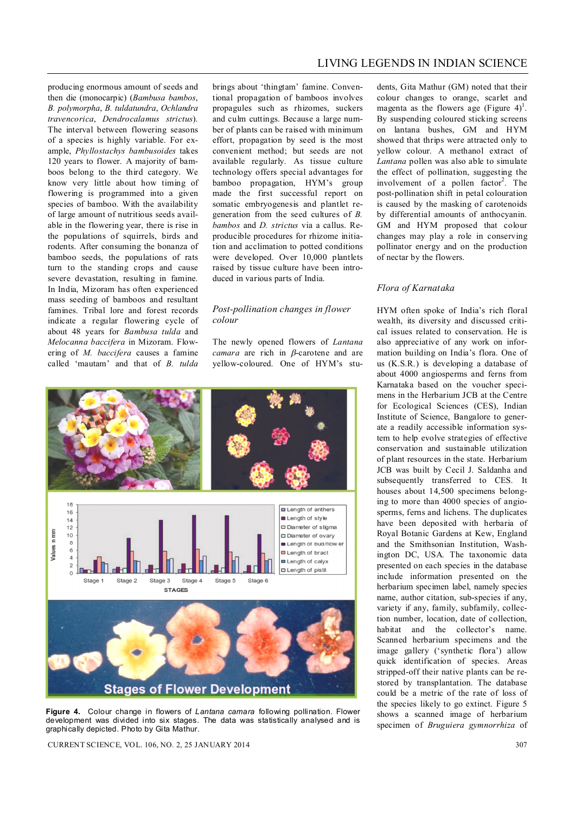LIVING LEGENDS IN INDIAN SCIENCE

producing enormous amount of seeds and then die (monocarpic) (*Bambusa bambos*, *B. polymorpha*, *B. tuldatundra*, *Ochlandra travencorica*, *Dendrocalamus strictus*). The interval between flowering seasons of a species is highly variable. For example, *Phyllostachys bambusoides* takes 120 years to flower. A majority of bamboos belong to the third category. We know very little about how timing of flowering is programmed into a given species of bamboo. With the availability of large amount of nutritious seeds available in the flowering year, there is rise in the populations of squirrels, birds and rodents. After consuming the bonanza of bamboo seeds, the populations of rats turn to the standing crops and cause severe devastation, resulting in famine. In India, Mizoram has often experienced mass seeding of bamboos and resultant famines. Tribal lore and forest records indicate a regular flowering cycle of about 48 years for *Bambusa tulda* and *Melocanna baccifera* in Mizoram. Flowering of *M. baccifera* causes a famine called 'mautam' and that of *B. tulda* 

brings about 'thingtam' famine. Conventional propagation of bamboos involves propagules such as rhizomes, suckers and culm cuttings. Because a large number of plants can be raised with minimum effort, propagation by seed is the most convenient method; but seeds are not available regularly. As tissue culture technology offers special advantages for bamboo propagation, HYM's group made the first successful report on somatic embryogenesis and plantlet regeneration from the seed cultures of *B. bambos* and *D. strictus* via a callus. Reproducible procedures for rhizome initiation and acclimation to potted conditions were developed. Over 10,000 plantlets raised by tissue culture have been introduced in various parts of India.

#### *Post-pollination changes in flower colour*

The newly opened flowers of *Lantana camara* are rich in  $\beta$ -carotene and are yellow-coloured. One of HYM's stu-



**Figure 4.** Colour change in flowers of *Lantana camara* following pollination. Flower development was divided into six stages. The data was statistically analysed and is graphically depicted. Photo by Gita Mathur.

CURRENT SCIENCE, VOL. 106, NO. 2, 25 JANUARY 2014 307

dents, Gita Mathur (GM) noted that their colour changes to orange, scarlet and magenta as the flowers age (Figure  $4$ )<sup>1</sup>. By suspending coloured sticking screens on lantana bushes, GM and HYM showed that thrips were attracted only to yellow colour. A methanol extract of *Lantana* pollen was also able to simulate the effect of pollination, suggesting the involvement of a pollen factor<sup>2</sup>. The post-pollination shift in petal colouration is caused by the masking of carotenoids by differential amounts of anthocyanin. GM and HYM proposed that colour changes may play a role in conserving pollinator energy and on the production of nectar by the flowers.

## *Flora of Karnataka*

HYM often spoke of India's rich floral wealth, its diversity and discussed critical issues related to conservation. He is also appreciative of any work on information building on India's flora. One of us (K.S.R.) is developing a database of about 4000 angiosperms and ferns from Karnataka based on the voucher specimens in the Herbarium JCB at the Centre for Ecological Sciences (CES), Indian Institute of Science, Bangalore to generate a readily accessible information system to help evolve strategies of effective conservation and sustainable utilization of plant resources in the state. Herbarium JCB was built by Cecil J. Saldanha and subsequently transferred to CES. It houses about 14,500 specimens belonging to more than 4000 species of angiosperms, ferns and lichens. The duplicates have been deposited with herbaria of Royal Botanic Gardens at Kew, England and the Smithsonian Institution, Washington DC, USA. The taxonomic data presented on each species in the database include information presented on the herbarium specimen label, namely species name, author citation, sub-species if any, variety if any, family, subfamily, collection number, location, date of collection, habitat and the collector's name. Scanned herbarium specimens and the image gallery ('synthetic flora') allow quick identification of species. Areas stripped-off their native plants can be restored by transplantation. The database could be a metric of the rate of loss of the species likely to go extinct. Figure 5 shows a scanned image of herbarium specimen of *Bruguiera gymnorrhiza* of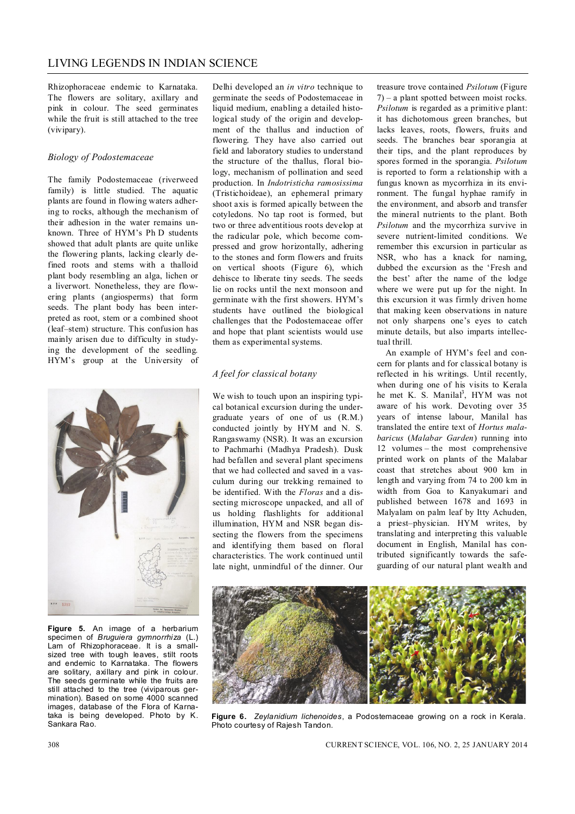Rhizophoraceae endemic to Karnataka. The flowers are solitary, axillary and pink in colour. The seed germinates while the fruit is still attached to the tree (vivipary).

## *Biology of Podostemaceae*

The family Podostemaceae (riverweed family) is little studied. The aquatic plants are found in flowing waters adhering to rocks, although the mechanism of their adhesion in the water remains unknown. Three of HYM's Ph D students showed that adult plants are quite unlike the flowering plants, lacking clearly defined roots and stems with a thalloid plant body resembling an alga, lichen or a liverwort. Nonetheless, they are flowering plants (angiosperms) that form seeds. The plant body has been interpreted as root, stem or a combined shoot (leaf–stem) structure. This confusion has mainly arisen due to difficulty in studying the development of the seedling. HYM's group at the University of



**Figure 5.** An image of a herbarium specimen of *Bruguiera gymnorrhiza* (L.) Lam of Rhizophoraceae. It is a smallsized tree with tough leaves, stilt roots and endemic to Karnataka. The flowers are solitary, axillary and pink in colour. The seeds germinate while the fruits are still attached to the tree (viviparous germination). Based on some 4000 scanned images, database of the Flora of Karnataka is being developed. Photo by K. Sankara Rao.

Delhi developed an *in vitro* technique to germinate the seeds of Podostemaceae in liquid medium, enabling a detailed histological study of the origin and development of the thallus and induction of flowering. They have also carried out field and laboratory studies to understand the structure of the thallus, floral biology, mechanism of pollination and seed production. In *Indotristicha ramosissima* (Tristichoideae), an ephemeral primary shoot axis is formed apically between the cotyledons. No tap root is formed, but two or three adventitious roots develop at the radicular pole, which become compressed and grow horizontally, adhering to the stones and form flowers and fruits on vertical shoots (Figure 6), which dehisce to liberate tiny seeds. The seeds lie on rocks until the next monsoon and germinate with the first showers. HYM's students have outlined the biological challenges that the Podostemaceae offer and hope that plant scientists would use them as experimental systems.

# *A feel for classical botany*

We wish to touch upon an inspiring typical botanical excursion during the undergraduate years of one of us (R.M.) conducted jointly by HYM and N. S. Rangaswamy (NSR). It was an excursion to Pachmarhi (Madhya Pradesh). Dusk had befallen and several plant specimens that we had collected and saved in a vasculum during our trekking remained to be identified. With the *Floras* and a dissecting microscope unpacked, and all of us holding flashlights for additional illumination, HYM and NSR began dissecting the flowers from the specimens and identifying them based on floral characteristics. The work continued until late night, unmindful of the dinner. Our treasure trove contained *Psilotum* (Figure 7) – a plant spotted between moist rocks. *Psilotum* is regarded as a primitive plant: it has dichotomous green branches, but lacks leaves, roots, flowers, fruits and seeds. The branches bear sporangia at their tips, and the plant reproduces by spores formed in the sporangia. *Psilotum* is reported to form a relationship with a fungus known as mycorrhiza in its environment. The fungal hyphae ramify in the environment, and absorb and transfer the mineral nutrients to the plant. Both *Psilotum* and the mycorrhiza survive in severe nutrient-limited conditions. We remember this excursion in particular as NSR, who has a knack for naming, dubbed the excursion as the 'Fresh and the best' after the name of the lodge where we were put up for the night. In this excursion it was firmly driven home that making keen observations in nature not only sharpens one's eyes to catch minute details, but also imparts intellectual thrill.

An example of HYM's feel and concern for plants and for classical botany is reflected in his writings. Until recently, when during one of his visits to Kerala he met K. S. Manilal<sup>3</sup>, HYM was not aware of his work. Devoting over 35 years of intense labour, Manilal has translated the entire text of *Hortus malabaricus* (*Malabar Garden*) running into 12 volumes – the most comprehensive printed work on plants of the Malabar coast that stretches about 900 km in length and varying from 74 to 200 km in width from Goa to Kanyakumari and published between 1678 and 1693 in Malyalam on palm leaf by Itty Achuden, a priest–physician. HYM writes, by translating and interpreting this valuable document in English, Manilal has contributed significantly towards the safeguarding of our natural plant wealth and



**Figure 6.** *Zeylanidium lichenoides*, a Podostemaceae growing on a rock in Kerala. Photo courtesy of Rajesh Tandon.